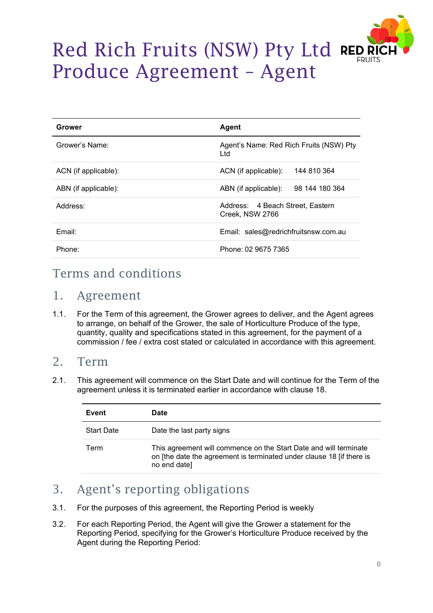

# Red Rich Fruits (NSW) Pty Ltd REDR Produce Agreement – Agent

| Grower               | Agent                                               |
|----------------------|-----------------------------------------------------|
| Grower's Name:       | Agent's Name: Red Rich Fruits (NSW) Pty<br>Ltd      |
| ACN (if applicable): | 144 810 364<br>ACN (if applicable):                 |
| ABN (if applicable): | 98 144 180 364<br>ABN (if applicable):              |
| Address:             | Address: 4 Beach Street, Eastern<br>Creek, NSW 2766 |
| Email:               | Email: sales@redrichfruitsnsw.com.au                |
| Phone:               | Phone: 02 9675 7365                                 |

# Terms and conditions

#### 1. Agreement

1.1. For the Term of this agreement, the Grower agrees to deliver, and the Agent agrees to arrange, on behalf of the Grower, the sale of Horticulture Produce of the type, quantity, quality and specifications stated in this agreement, for the payment of a commission / fee / extra cost stated or calculated in accordance with this agreement.

#### 2. Term

2.1. This agreement will commence on the Start Date and will continue for the Term of the agreement unless it is terminated earlier in accordance with clause 18.

| Event             | Date                                                                                                                                                       |
|-------------------|------------------------------------------------------------------------------------------------------------------------------------------------------------|
| <b>Start Date</b> | Date the last party signs                                                                                                                                  |
| Term              | This agreement will commence on the Start Date and will terminate<br>on [the date the agreement is terminated under clause 18 [if there is<br>no end date] |

# 3. Agent's reporting obligations

- 3.1. For the purposes of this agreement, the Reporting Period is weekly
- 3.2. For each Reporting Period, the Agent will give the Grower a statement for the Reporting Period, specifying for the Grower's Horticulture Produce received by the Agent during the Reporting Period: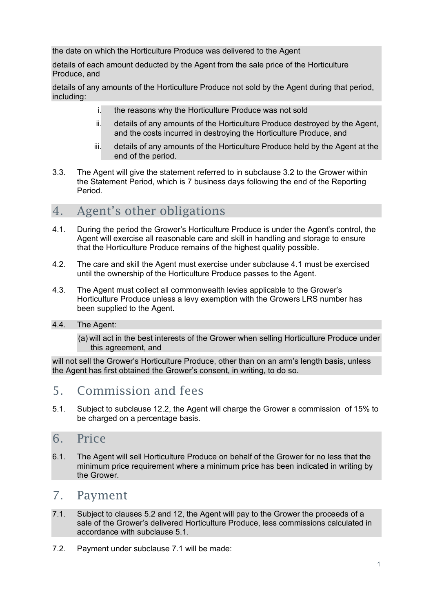the date on which the Horticulture Produce was delivered to the Agent

details of each amount deducted by the Agent from the sale price of the Horticulture Produce, and

details of any amounts of the Horticulture Produce not sold by the Agent during that period, including:

- i. the reasons why the Horticulture Produce was not sold
- ii. details of any amounts of the Horticulture Produce destroyed by the Agent, and the costs incurred in destroying the Horticulture Produce, and
- iii. details of any amounts of the Horticulture Produce held by the Agent at the end of the period.
- 3.3. The Agent will give the statement referred to in subclause 3.2 to the Grower within the Statement Period, which is 7 business days following the end of the Reporting Period.

# 4. Agent's other obligations

- 4.1. During the period the Grower's Horticulture Produce is under the Agent's control, the Agent will exercise all reasonable care and skill in handling and storage to ensure that the Horticulture Produce remains of the highest quality possible.
- 4.2. The care and skill the Agent must exercise under subclause 4.1 must be exercised until the ownership of the Horticulture Produce passes to the Agent.
- 4.3. The Agent must collect all commonwealth levies applicable to the Grower's Horticulture Produce unless a levy exemption with the Growers LRS number has been supplied to the Agent.
- 4.4. The Agent:
	- (a) will act in the best interests of the Grower when selling Horticulture Produce under this agreement, and

will not sell the Grower's Horticulture Produce, other than on an arm's length basis, unless the Agent has first obtained the Grower's consent, in writing, to do so.

## 5. Commission and fees

5.1. Subject to subclause 12.2, the Agent will charge the Grower a commission of 15% to be charged on a percentage basis.

#### 6. Price

6.1. The Agent will sell Horticulture Produce on behalf of the Grower for no less that the minimum price requirement where a minimum price has been indicated in writing by the Grower.

## 7. Payment

- 7.1. Subject to clauses 5.2 and 12, the Agent will pay to the Grower the proceeds of a sale of the Grower's delivered Horticulture Produce, less commissions calculated in accordance with subclause 5.1.
- 7.2. Payment under subclause 7.1 will be made: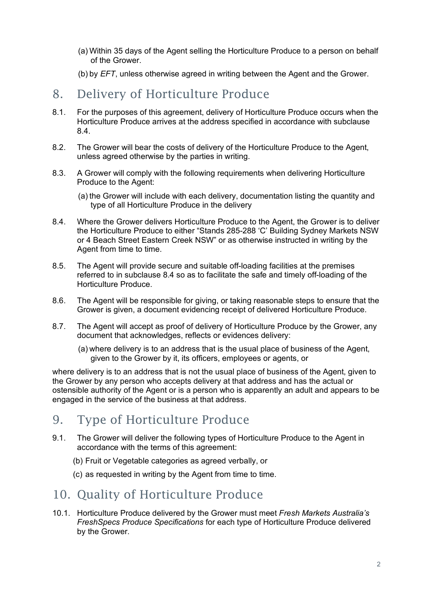- (a) Within 35 days of the Agent selling the Horticulture Produce to a person on behalf of the Grower.
- (b) by *EFT*, unless otherwise agreed in writing between the Agent and the Grower.

# 8. Delivery of Horticulture Produce

- 8.1. For the purposes of this agreement, delivery of Horticulture Produce occurs when the Horticulture Produce arrives at the address specified in accordance with subclause 8.4.
- 8.2. The Grower will bear the costs of delivery of the Horticulture Produce to the Agent, unless agreed otherwise by the parties in writing.
- 8.3. A Grower will comply with the following requirements when delivering Horticulture Produce to the Agent:
	- (a) the Grower will include with each delivery, documentation listing the quantity and type of all Horticulture Produce in the delivery
- 8.4. Where the Grower delivers Horticulture Produce to the Agent, the Grower is to deliver the Horticulture Produce to either "Stands 285-288 'C' Building Sydney Markets NSW or 4 Beach Street Eastern Creek NSW" or as otherwise instructed in writing by the Agent from time to time.
- 8.5. The Agent will provide secure and suitable off-loading facilities at the premises referred to in subclause 8.4 so as to facilitate the safe and timely off-loading of the Horticulture Produce.
- 8.6. The Agent will be responsible for giving, or taking reasonable steps to ensure that the Grower is given, a document evidencing receipt of delivered Horticulture Produce.
- 8.7. The Agent will accept as proof of delivery of Horticulture Produce by the Grower, any document that acknowledges, reflects or evidences delivery:
	- (a) where delivery is to an address that is the usual place of business of the Agent, given to the Grower by it, its officers, employees or agents, or

where delivery is to an address that is not the usual place of business of the Agent, given to the Grower by any person who accepts delivery at that address and has the actual or ostensible authority of the Agent or is a person who is apparently an adult and appears to be engaged in the service of the business at that address.

# 9. Type of Horticulture Produce

- 9.1. The Grower will deliver the following types of Horticulture Produce to the Agent in accordance with the terms of this agreement:
	- (b) Fruit or Vegetable categories as agreed verbally, or
	- (c) as requested in writing by the Agent from time to time.

## 10. Quality of Horticulture Produce

10.1. Horticulture Produce delivered by the Grower must meet *Fresh Markets Australia's FreshSpecs Produce Specifications* for each type of Horticulture Produce delivered by the Grower.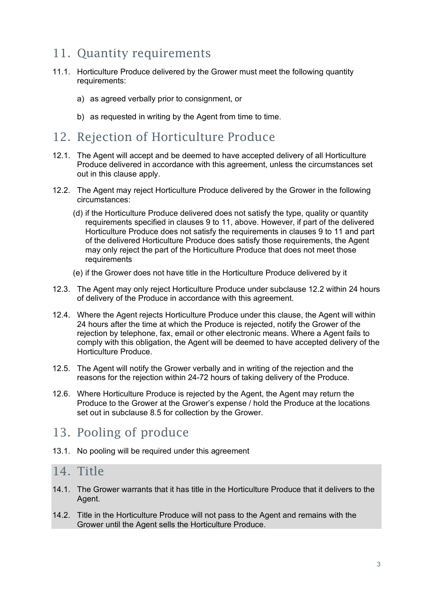## 11. Quantity requirements

- 11.1. Horticulture Produce delivered by the Grower must meet the following quantity requirements:
	- a) as agreed verbally prior to consignment, or
	- b) as requested in writing by the Agent from time to time.

#### 12. Rejection of Horticulture Produce

- 12.1. The Agent will accept and be deemed to have accepted delivery of all Horticulture Produce delivered in accordance with this agreement, unless the circumstances set out in this clause apply.
- 12.2. The Agent may reject Horticulture Produce delivered by the Grower in the following circumstances:
	- (d) if the Horticulture Produce delivered does not satisfy the type, quality or quantity requirements specified in clauses 9 to 11, above. However, if part of the delivered Horticulture Produce does not satisfy the requirements in clauses 9 to 11 and part of the delivered Horticulture Produce does satisfy those requirements, the Agent may only reject the part of the Horticulture Produce that does not meet those requirements
	- (e) if the Grower does not have title in the Horticulture Produce delivered by it
- 12.3. The Agent may only reject Horticulture Produce under subclause 12.2 within 24 hours of delivery of the Produce in accordance with this agreement.
- 12.4. Where the Agent rejects Horticulture Produce under this clause, the Agent will within 24 hours after the time at which the Produce is rejected, notify the Grower of the rejection by telephone, fax, email or other electronic means. Where a Agent fails to comply with this obligation, the Agent will be deemed to have accepted delivery of the Horticulture Produce.
- 12.5. The Agent will notify the Grower verbally and in writing of the rejection and the reasons for the rejection within 24-72 hours of taking delivery of the Produce.
- 12.6. Where Horticulture Produce is rejected by the Agent, the Agent may return the Produce to the Grower at the Grower's expense / hold the Produce at the locations set out in subclause 8.5 for collection by the Grower.

## 13. Pooling of produce

13.1. No pooling will be required under this agreement

#### 14. Title

- 14.1. The Grower warrants that it has title in the Horticulture Produce that it delivers to the Agent.
- 14.2. Title in the Horticulture Produce will not pass to the Agent and remains with the Grower until the Agent sells the Horticulture Produce.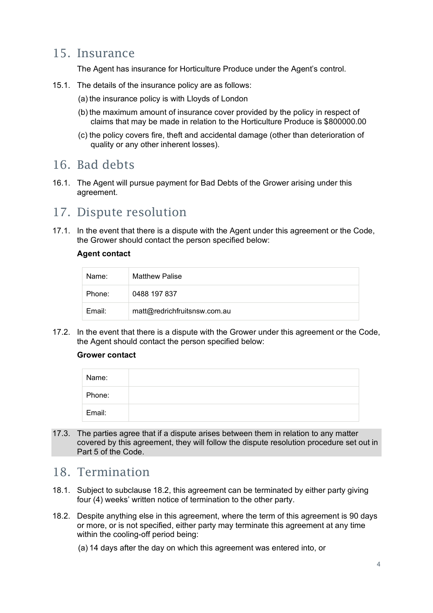#### 15. Insurance

The Agent has insurance for Horticulture Produce under the Agent's control.

- 15.1. The details of the insurance policy are as follows:
	- (a) the insurance policy is with Lloyds of London
	- (b) the maximum amount of insurance cover provided by the policy in respect of claims that may be made in relation to the Horticulture Produce is \$800000.00
	- (c) the policy covers fire, theft and accidental damage (other than deterioration of quality or any other inherent losses).

#### 16. Bad debts

16.1. The Agent will pursue payment for Bad Debts of the Grower arising under this agreement.

## 17. Dispute resolution

17.1. In the event that there is a dispute with the Agent under this agreement or the Code, the Grower should contact the person specified below:

#### **Agent contact**

| Name:  | <b>Matthew Palise</b>        |
|--------|------------------------------|
| Phone: | 0488 197 837                 |
| Email: | matt@redrichfruitsnsw.com.au |

17.2. In the event that there is a dispute with the Grower under this agreement or the Code, the Agent should contact the person specified below:

#### **Grower contact**

| Name:  |  |
|--------|--|
| Phone: |  |
| Email: |  |

17.3. The parties agree that if a dispute arises between them in relation to any matter covered by this agreement, they will follow the dispute resolution procedure set out in Part 5 of the Code.

#### 18. Termination

- 18.1. Subject to subclause 18.2, this agreement can be terminated by either party giving four (4) weeks' written notice of termination to the other party.
- 18.2. Despite anything else in this agreement, where the term of this agreement is 90 days or more, or is not specified, either party may terminate this agreement at any time within the cooling-off period being:
	- (a) 14 days after the day on which this agreement was entered into, or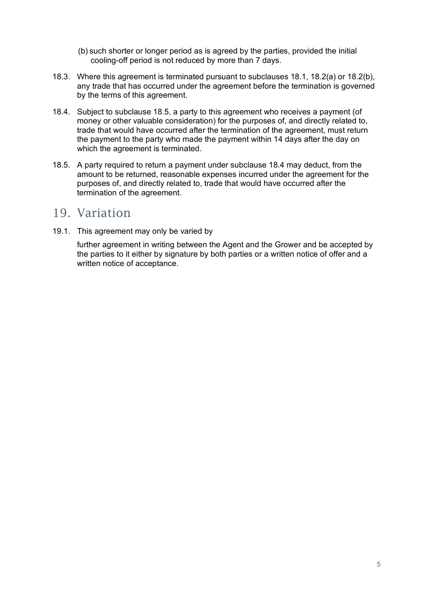- (b) such shorter or longer period as is agreed by the parties, provided the initial cooling-off period is not reduced by more than 7 days.
- 18.3. Where this agreement is terminated pursuant to subclauses 18.1, 18.2(a) or 18.2(b), any trade that has occurred under the agreement before the termination is governed by the terms of this agreement.
- 18.4. Subject to subclause 18.5, a party to this agreement who receives a payment (of money or other valuable consideration) for the purposes of, and directly related to, trade that would have occurred after the termination of the agreement, must return the payment to the party who made the payment within 14 days after the day on which the agreement is terminated.
- 18.5. A party required to return a payment under subclause 18.4 may deduct, from the amount to be returned, reasonable expenses incurred under the agreement for the purposes of, and directly related to, trade that would have occurred after the termination of the agreement.

#### 19. Variation

19.1. This agreement may only be varied by

further agreement in writing between the Agent and the Grower and be accepted by the parties to it either by signature by both parties or a written notice of offer and a written notice of acceptance.